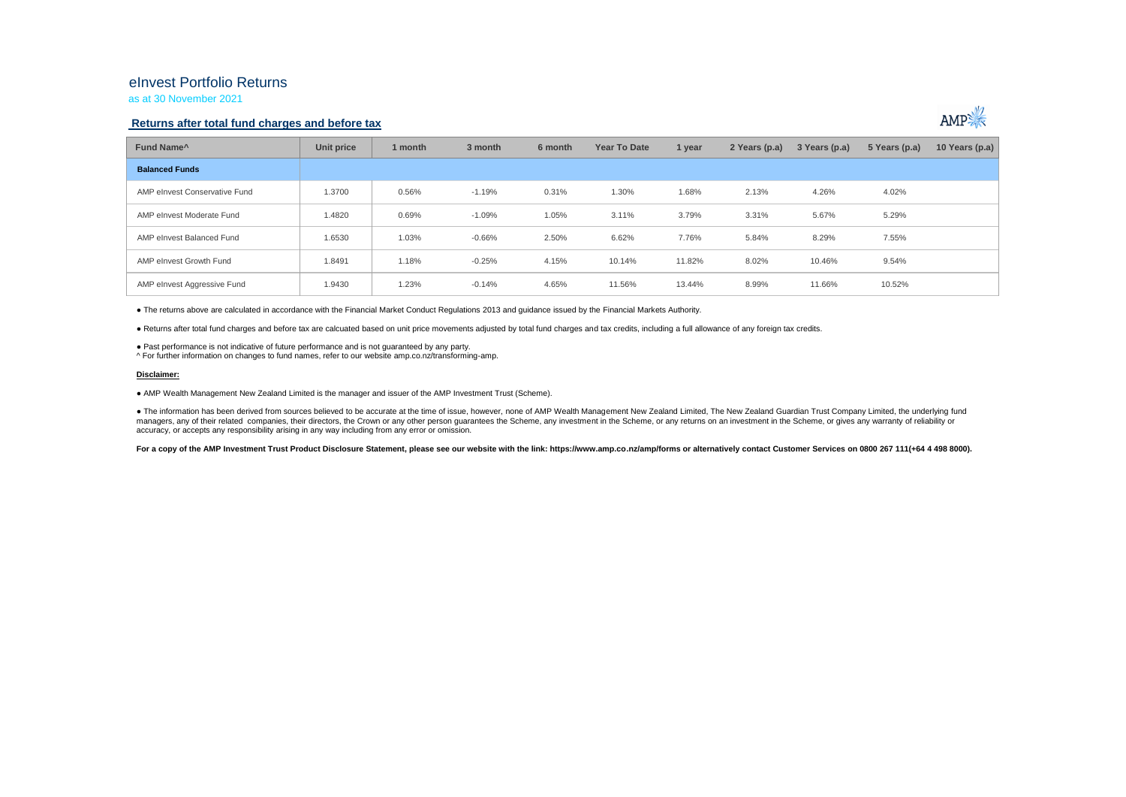# eInvest Portfolio Returns

as at 30 November 2021

### **Returns after total fund charges and before tax**



| Fund Name <sup>^</sup>        | Unit price | 1 month | 3 month  | 6 month | Year To Date | 1 year | 2 Years (p.a) | 3 Years (p.a) | 5 Years (p.a) | 10 Years (p.a) $ $ |
|-------------------------------|------------|---------|----------|---------|--------------|--------|---------------|---------------|---------------|--------------------|
| <b>Balanced Funds</b>         |            |         |          |         |              |        |               |               |               |                    |
| AMP elnvest Conservative Fund | 1.3700     | 0.56%   | $-1.19%$ | 0.31%   | 1.30%        | 1.68%  | 2.13%         | 4.26%         | 4.02%         |                    |
| AMP elnvest Moderate Fund     | 1.4820     | 0.69%   | $-1.09%$ | 1.05%   | 3.11%        | 3.79%  | 3.31%         | 5.67%         | 5.29%         |                    |
| AMP elnvest Balanced Fund     | 1.6530     | 1.03%   | $-0.66%$ | 2.50%   | 6.62%        | 7.76%  | 5.84%         | 8.29%         | 7.55%         |                    |
| AMP elnvest Growth Fund       | 1.8491     | 1.18%   | $-0.25%$ | 4.15%   | 10.14%       | 11.82% | 8.02%         | 10.46%        | 9.54%         |                    |
| AMP elnvest Aggressive Fund   | 1.9430     | 1.23%   | $-0.14%$ | 4.65%   | 11.56%       | 13.44% | 8.99%         | 11.66%        | 10.52%        |                    |

● The returns above are calculated in accordance with the Financial Market Conduct Regulations 2013 and guidance issued by the Financial Markets Authority.

● Returns after total fund charges and before tax are calcuated based on unit price movements adjusted by total fund charges and tax credits, including a full allowance of any foreign tax credits.

● Past performance is not indicative of future performance and is not guaranteed by any party.

^ For further information on changes to fund names, refer to our website amp.co.nz/transforming-amp.

#### **Disclaimer:**

● AMP Wealth Management New Zealand Limited is the manager and issuer of the AMP Investment Trust (Scheme).

● The information has been derived from sources believed to be accurate at the time of issue, however, none of AMP Wealth Management New Zealand Limited, The New Zealand Guardian Trust Company Limited, the underlying fund magers, any of their related companies, their directors, the Crown or any other person quarantees the Scheme, any investment in the Scheme, or any returns on an investment in the Scheme, or any returns on an investment in accuracy, or accepts any responsibility arising in any way including from any error or omission.

For a copy of the AMP Investment Trust Product Disclosure Statement, please see our website with the link: https://www.amp.co.nz/amp/forms or alternatively contact Customer Services on 0800 267 111(+64 4 498 8000).